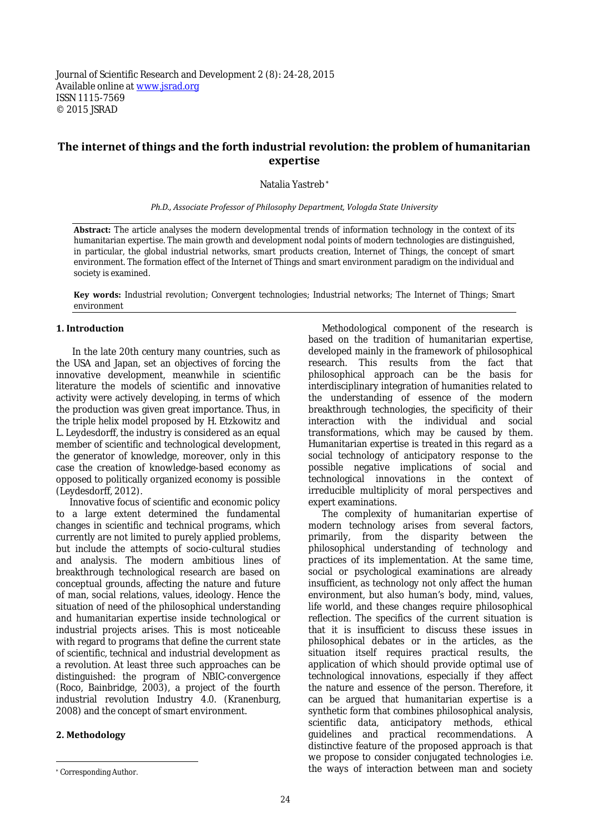# **The internet of things and the forth industrial revolution: the problem of humanitarian expertise**

Natalia Yastreb \*

*Ph.D., Associate Professor of Philosophy Department, Vologda State University*

**Abstract:** The article analyses the modern developmental trends of information technology in the context of its humanitarian expertise. The main growth and development nodal points of modern technologies are distinguished, in particular, the global industrial networks, smart products creation, Internet of Things, the concept of smart environment. The formation effect of the Internet of Things and smart environment paradigm on the individual and society is examined.

**Key words:** Industrial revolution; Convergent technologies; Industrial networks; The Internet of Things; Smart environment

#### **1. Introduction**

In the late 20th century many countries, such as the USA and Japan, set an objectives of forcing the innovative development, meanwhile in scientific literature the models of scientific and innovative activity were actively developing, in terms of which the production was given great importance. Thus, in the triple helix model proposed by H. Etzkowitz and L. Leydesdorff, the industry is considered as an equal member of scientific and technological development, the generator of knowledge, moreover, only in this case the creation of knowledge-based economy as opposed to politically organized economy is possible (Leydesdorff, 2012).

Innovative focus of scientific and economic policy to a large extent determined the fundamental changes in scientific and technical programs, which currently are not limited to purely applied problems, but include the attempts of socio-cultural studies and analysis. The modern ambitious lines of breakthrough technological research are based on conceptual grounds, affecting the nature and future of man, social relations, values, ideology. Hence the situation of need of the philosophical understanding and humanitarian expertise inside technological or industrial projects arises. This is most noticeable with regard to programs that define the current state of scientific, technical and industrial development as a revolution. At least three such approaches can be distinguished: the program of NBIC-convergence (Roco, Bainbridge, 2003), a project of the fourth industrial revolution Industry 4.0. (Kranenburg, 2008) and the concept of smart environment.

### **2. Methodology**

Methodological component of the research is based on the tradition of humanitarian expertise, developed mainly in the framework of philosophical research. This results from the fact that philosophical approach can be the basis for interdisciplinary integration of humanities related to the understanding of essence of the modern breakthrough technologies, the specificity of their interaction with the individual and social transformations, which may be caused by them. Humanitarian expertise is treated in this regard as a social technology of anticipatory response to the possible negative implications of social and technological innovations in the context of irreducible multiplicity of moral perspectives and expert examinations.

The complexity of humanitarian expertise of modern technology arises from several factors, primarily, from the disparity between the philosophical understanding of technology and practices of its implementation. At the same time, social or psychological examinations are already insufficient, as technology not only affect the human environment, but also human's body, mind, values, life world, and these changes require philosophical reflection. The specifics of the current situation is that it is insufficient to discuss these issues in philosophical debates or in the articles, as the situation itself requires practical results, the application of which should provide optimal use of technological innovations, especially if they affect the nature and essence of the person. Therefore, it can be argued that humanitarian expertise is a synthetic form that combines philosophical analysis, scientific data, anticipatory methods, ethical<br>quidelines and practical recommendations. A guidelines and practical recommendations. A distinctive feature of the proposed approach is that we propose to consider conjugated technologies i.e. the ways of interaction between man and society

<sup>\*</sup> Corresponding Author.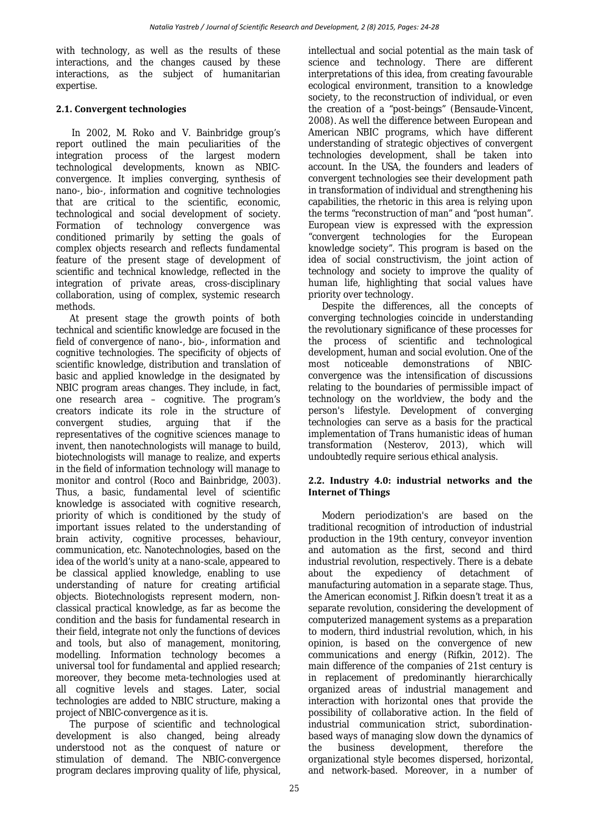with technology, as well as the results of these interactions, and the changes caused by these interactions, as the subject of humanitarian expertise.

# **2.1. Convergent technologies**

In 2002, M. Roko and V. Bainbridge group's report outlined the main peculiarities of the integration process of the largest modern technological developments, known as NBICconvergence. It implies converging, synthesis of nano-, bio-, information and cognitive technologies that are critical to the scientific, economic, technological and social development of society. Formation of technology convergence was conditioned primarily by setting the goals of complex objects research and reflects fundamental feature of the present stage of development of scientific and technical knowledge, reflected in the integration of private areas, cross-disciplinary collaboration, using of complex, systemic research methods.

At present stage the growth points of both technical and scientific knowledge are focused in the field of convergence of nano-, bio-, information and cognitive technologies. The specificity of objects of scientific knowledge, distribution and translation of basic and applied knowledge in the designated by NBIC program areas changes. They include, in fact, one research area – cognitive. The program's creators indicate its role in the structure of convergent studies, arguing that if the representatives of the cognitive sciences manage to invent, then nanotechnologists will manage to build, biotechnologists will manage to realize, and experts in the field of information technology will manage to monitor and control (Roco and Bainbridge, 2003). Thus, a basic, fundamental level of scientific knowledge is associated with cognitive research, priority of which is conditioned by the study of important issues related to the understanding of brain activity, cognitive processes, behaviour, communication, etc. Nanotechnologies, based on the idea of the world's unity at a nano-scale, appeared to be classical applied knowledge, enabling to use understanding of nature for creating artificial objects. Biotechnologists represent modern, nonclassical practical knowledge, as far as become the condition and the basis for fundamental research in their field, integrate not only the functions of devices and tools, but also of management, monitoring, modelling. Information technology becomes a universal tool for fundamental and applied research; moreover, they become meta-technologies used at all cognitive levels and stages. Later, social technologies are added to NBIC structure, making a project of NBIC-convergence as it is.

The purpose of scientific and technological development is also changed, being already understood not as the conquest of nature or stimulation of demand. The NBIC-convergence program declares improving quality of life, physical, intellectual and social potential as the main task of science and technology. There are different interpretations of this idea, from creating favourable ecological environment, transition to a knowledge society, to the reconstruction of individual, or even the creation of a "post-beings" (Bensaude-Vincent, 2008). As well the difference between European and American NBIC programs, which have different understanding of strategic objectives of convergent technologies development, shall be taken into account. In the USA, the founders and leaders of convergent technologies see their development path in transformation of individual and strengthening his capabilities, the rhetoric in this area is relying upon the terms "reconstruction of man" and "post human". European view is expressed with the expression "convergent technologies for the European knowledge society". This program is based on the idea of social constructivism, the joint action of technology and society to improve the quality of human life, highlighting that social values have priority over technology.

Despite the differences, all the concepts of converging technologies coincide in understanding the revolutionary significance of these processes for<br>the process of scientific and technological process of scientific and technological development, human and social evolution. One of the<br>most proticeable demonstrations of NBICnoticeable demonstrations of convergence was the intensification of discussions relating to the boundaries of permissible impact of technology on the worldview, the body and the person's lifestyle. Development of converging technologies can serve as a basis for the practical implementation of Trans humanistic ideas of human transformation (Nesterov, 2013), which will undoubtedly require serious ethical analysis.

## **2.2. Industry 4.0: industrial networks and the Internet of Things**

Modern periodization's are based on the traditional recognition of introduction of industrial production in the 19th century, conveyor invention and automation as the first, second and third industrial revolution, respectively. There is a debate<br>about the expediency of detachment of expediency of detachment of manufacturing automation in a separate stage. Thus, the American economist J. Rifkin doesn't treat it as a separate revolution, considering the development of computerized management systems as a preparation to modern, third industrial revolution, which, in his opinion, is based on the convergence of new communications and energy (Rifkin, 2012). The main difference of the companies of 21st century is in replacement of predominantly hierarchically organized areas of industrial management and interaction with horizontal ones that provide the possibility of collaborative action. In the field of industrial communication strict, subordinationbased ways of managing slow down the dynamics of<br>the business development, therefore the development, organizational style becomes dispersed, horizontal, and network-based. Moreover, in a number of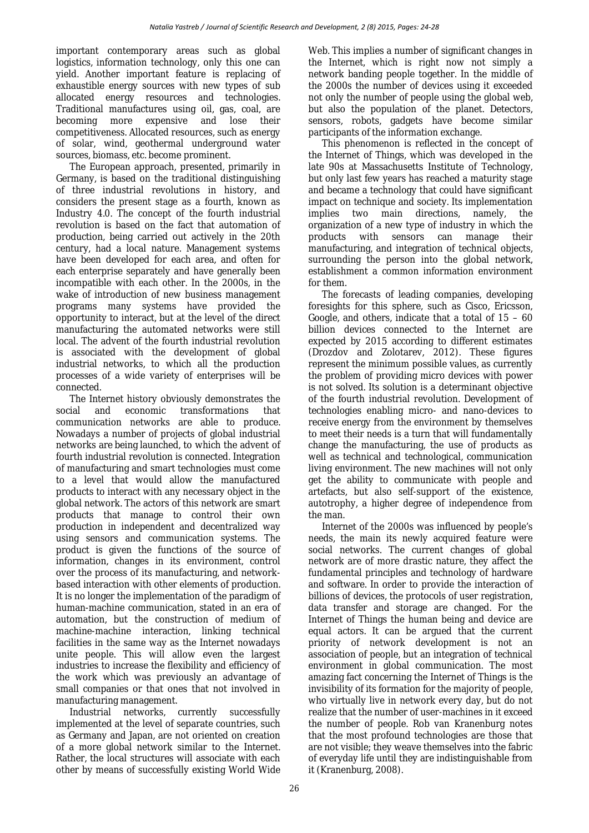important contemporary areas such as global logistics, information technology, only this one can yield. Another important feature is replacing of exhaustible energy sources with new types of sub allocated energy resources and technologies. Traditional manufactures using oil, gas, coal, are becoming more expensive and lose competitiveness. Allocated resources, such as energy of solar, wind, geothermal underground water sources, biomass, etc. become prominent.

The European approach, presented, primarily in Germany, is based on the traditional distinguishing of three industrial revolutions in history, and considers the present stage as a fourth, known as Industry 4.0. The concept of the fourth industrial revolution is based on the fact that automation of production, being carried out actively in the 20th century, had a local nature. Management systems have been developed for each area, and often for each enterprise separately and have generally been incompatible with each other. In the 2000s, in the wake of introduction of new business management programs many systems have provided the opportunity to interact, but at the level of the direct manufacturing the automated networks were still local. The advent of the fourth industrial revolution is associated with the development of global industrial networks, to which all the production processes of a wide variety of enterprises will be connected.

The Internet history obviously demonstrates the social and economic transformations that transformations communication networks are able to produce. Nowadays a number of projects of global industrial networks are being launched, to which the advent of fourth industrial revolution is connected. Integration of manufacturing and smart technologies must come to a level that would allow the manufactured products to interact with any necessary object in the global network. The actors of this network are smart products that manage to control their own production in independent and decentralized way using sensors and communication systems. The product is given the functions of the source of information, changes in its environment, control over the process of its manufacturing, and networkbased interaction with other elements of production. It is no longer the implementation of the paradigm of human-machine communication, stated in an era of automation, but the construction of medium of machine-machine interaction, linking technical facilities in the same way as the Internet nowadays unite people. This will allow even the largest industries to increase the flexibility and efficiency of the work which was previously an advantage of small companies or that ones that not involved in manufacturing management.

Industrial networks, currently successfully implemented at the level of separate countries, such as Germany and Japan, are not oriented on creation of a more global network similar to the Internet. Rather, the local structures will associate with each other by means of successfully existing World Wide Web. This implies a number of significant changes in the Internet, which is right now not simply a network banding people together. In the middle of the 2000s the number of devices using it exceeded not only the number of people using the global web, but also the population of the planet. Detectors, sensors, robots, gadgets have become similar participants of the information exchange.

This phenomenon is reflected in the concept of the Internet of Things, which was developed in the late 90s at Massachusetts Institute of Technology, but only last few years has reached a maturity stage and became a technology that could have significant impact on technique and society. Its implementation<br>implies two main directions, namely, the two main directions, namely, organization of a new type of industry in which the sensors can manufacturing, and integration of technical objects, surrounding the person into the global network, establishment a common information environment for them.

The forecasts of leading companies, developing foresights for this sphere, such as Cisco, Ericsson, Google, and others, indicate that a total of 15 – 60 billion devices connected to the Internet are expected by 2015 according to different estimates (Drozdov and Zolotarev, 2012). These figures represent the minimum possible values, as currently the problem of providing micro devices with power is not solved. Its solution is a determinant objective of the fourth industrial revolution. Development of technologies enabling micro- and nano-devices to receive energy from the environment by themselves to meet their needs is a turn that will fundamentally change the manufacturing, the use of products as well as technical and technological, communication living environment. The new machines will not only get the ability to communicate with people and artefacts, but also self-support of the existence, autotrophy, a higher degree of independence from the man.

Internet of the 2000s was influenced by people's needs, the main its newly acquired feature were social networks. The current changes of global network are of more drastic nature, they affect the fundamental principles and technology of hardware and software. In order to provide the interaction of billions of devices, the protocols of user registration, data transfer and storage are changed. For the Internet of Things the human being and device are equal actors. It can be argued that the current priority of network development is not an association of people, but an integration of technical environment in global communication. The most amazing fact concerning the Internet of Things is the invisibility of its formation for the majority of people, who virtually live in network every day, but do not realize that the number of user-machines in it exceed the number of people. Rob van Kranenburg notes that the most profound technologies are those that are not visible; they weave themselves into the fabric of everyday life until they are indistinguishable from it (Kranenburg, 2008).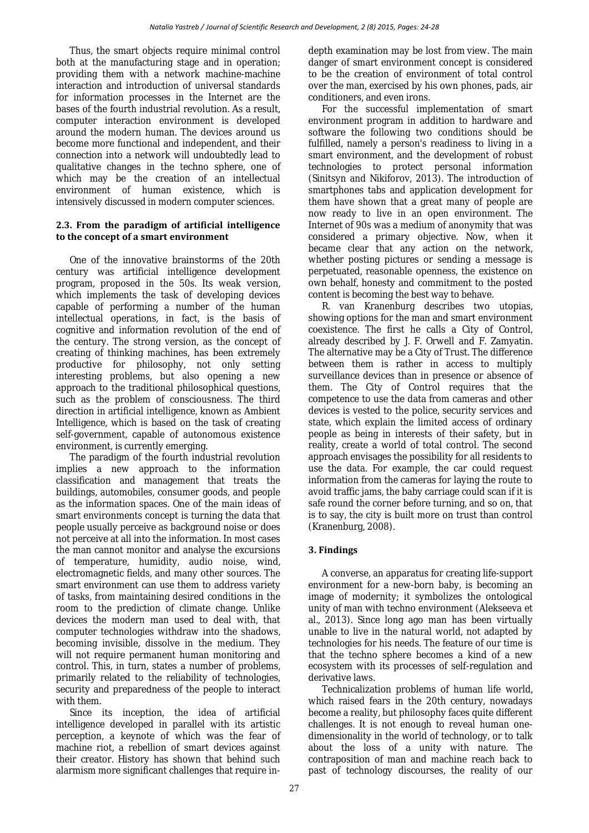Thus, the smart objects require minimal control both at the manufacturing stage and in operation; providing them with a network machine-machine interaction and introduction of universal standards for information processes in the Internet are the bases of the fourth industrial revolution. As a result, computer interaction environment is developed around the modern human. The devices around us become more functional and independent, and their connection into a network will undoubtedly lead to qualitative changes in the techno sphere, one of which may be the creation of an intellectual environment of human existence, which is intensively discussed in modern computer sciences.

### **2.3. From the paradigm of artificial intelligence to the concept of a smart environment**

One of the innovative brainstorms of the 20th century was artificial intelligence development program, proposed in the 50s. Its weak version, which implements the task of developing devices capable of performing a number of the human intellectual operations, in fact, is the basis of cognitive and information revolution of the end of the century. The strong version, as the concept of creating of thinking machines, has been extremely productive for philosophy, not only setting interesting problems, but also opening a new approach to the traditional philosophical questions, such as the problem of consciousness. The third direction in artificial intelligence, known as Ambient Intelligence, which is based on the task of creating self-government, capable of autonomous existence environment, is currently emerging.

The paradigm of the fourth industrial revolution implies a new approach to the information classification and management that treats the buildings, automobiles, consumer goods, and people as the information spaces. One of the main ideas of smart environments concept is turning the data that people usually perceive as background noise or does not perceive at all into the information. In most cases the man cannot monitor and analyse the excursions of temperature, humidity, audio noise, wind, electromagnetic fields, and many other sources. The smart environment can use them to address variety of tasks, from maintaining desired conditions in the room to the prediction of climate change. Unlike devices the modern man used to deal with, that computer technologies withdraw into the shadows, becoming invisible, dissolve in the medium. They will not require permanent human monitoring and control. This, in turn, states a number of problems, primarily related to the reliability of technologies, security and preparedness of the people to interact with them.

Since its inception, the idea of artificial intelligence developed in parallel with its artistic perception, a keynote of which was the fear of machine riot, a rebellion of smart devices against their creator. History has shown that behind such alarmism more significant challenges that require indepth examination may be lost from view. The main danger of smart environment concept is considered to be the creation of environment of total control over the man, exercised by his own phones, pads, air conditioners, and even irons.

For the successful implementation of smart environment program in addition to hardware and software the following two conditions should be fulfilled, namely a person's readiness to living in a smart environment, and the development of robust technologies to protect personal information (Sinitsyn and Nikiforov, 2013). The introduction of smartphones tabs and application development for them have shown that a great many of people are now ready to live in an open environment. The Internet of 90s was a medium of anonymity that was considered a primary objective. Now, when it became clear that any action on the network, whether posting pictures or sending a message is perpetuated, reasonable openness, the existence on own behalf, honesty and commitment to the posted content is becoming the best way to behave.

R. van Kranenburg describes two utopias, showing options for the man and smart environment coexistence. The first he calls a City of Control, already described by J. F. Orwell and F. Zamyatin. The alternative may be a City of Trust. The difference between them is rather in access to multiply surveillance devices than in presence or absence of them. The City of Control requires that the competence to use the data from cameras and other devices is vested to the police, security services and state, which explain the limited access of ordinary people as being in interests of their safety, but in reality, create a world of total control. The second approach envisages the possibility for all residents to use the data. For example, the car could request information from the cameras for laying the route to avoid traffic jams, the baby carriage could scan if it is safe round the corner before turning, and so on, that is to say, the city is built more on trust than control (Kranenburg, 2008).

# **3. Findings**

A converse, an apparatus for creating life-support environment for a new-born baby, is becoming an image of modernity; it symbolizes the ontological unity of man with techno environment (Alekseeva et al., 2013). Since long ago man has been virtually unable to live in the natural world, not adapted by technologies for his needs. The feature of our time is that the techno sphere becomes a kind of a new ecosystem with its processes of self-regulation and derivative laws.

Technicalization problems of human life world, which raised fears in the 20th century, nowadays become a reality, but philosophy faces quite different challenges. It is not enough to reveal human onedimensionality in the world of technology, or to talk about the loss of a unity with nature. The contraposition of man and machine reach back to past of technology discourses, the reality of our